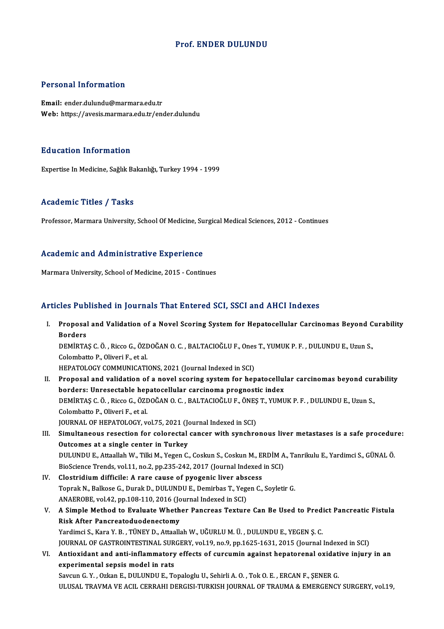### Prof. ENDER DULUNDU

### Personal Information

Email: ender.dulundu@marmara.edu.tr Web: https://avesis.marmara.edu.tr/ender.dulundu

#### Education Information

Expertise In Medicine, Sağlık Bakanlığı, Turkey 1994 - 1999

#### Academic Titles / Tasks

Professor, Marmara University, School Of Medicine, Surgical Medical Sciences, 2012 - Continues

### Academic and Administrative Experience

Marmara University, School of Medicine, 2015 - Continues

### Articles Published in Journals That Entered SCI, SSCI and AHCI Indexes

rticles Published in Journals That Entered SCI, SSCI and AHCI Indexes<br>I. Proposal and Validation of a Novel Scoring System for Hepatocellular Carcinomas Beyond Curability<br>Renders Proposal<br>Borders<br>DEMIPTA Proposal and Validation of a Novel Scoring System for Hepatocellular Carcinomas Beyond C<br>Borders<br>DEMİRTAŞ C. Ö. , Ricco G., ÖZDOĞAN O. C. , BALTACIOĞLU F., Ones T., YUMUK P. F. , DULUNDU E., Uzun S.,<br>Celembatte B. Oliveri Borders<br>DEMİRTAŞ C. Ö. , Ricco G., ÖZI<br>Colombatto P., Oliveri F., et al.<br>HERATOLOCY COMMUNICATI DEMIRTAŞ C. Ö. , Ricco G., ÖZDOĞAN O. C. , BALTACIOĞLU F., Ones<br>Colombatto P., Oliveri F., et al.<br>HEPATOLOGY COMMUNICATIONS, 2021 (Journal Indexed in SCI)<br>Proposel and velidation of a povel sening system for bon Colombatto P., Oliveri F., et al.<br>HEPATOLOGY COMMUNICATIONS, 2021 (Journal Indexed in SCI)<br>II. Proposal and validation of a novel scoring system for hepatocellular carcinomas beyond curability<br>herders: Unresectable hepatoc HEPATOLOGY COMMUNICATIONS, 2021 (Journal Indexed in SCI)<br>Proposal and validation of a novel scoring system for hepatocellul<br>borders: Unresectable hepatocellular carcinoma prognostic index<br>DEMIPTAS C Ö. Pisce C ÖZDOČAN O C.

Proposal and validation of a novel scoring system for hepatocellular carcinomas beyond cur<br>borders: Unresectable hepatocellular carcinoma prognostic index<br>DEMİRTAŞ C. Ö. , Ricco G., ÖZDOĞAN O. C. , BALTACIOĞLU F., ÖNEŞ T., borders: Unresectable hepatocellular carcinoma prognostic index<br>DEMİRTAŞ C. Ö. , Ricco G., ÖZDOĞAN O. C. , BALTACIOĞLU F., ÖNEŞ T., YUMUK P. F. , DULUNDU E., Uzun S.,<br>Colombatto P., Oliveri F., et al. DEMİRTAŞ C. Ö. , Ricco G., ÖZDOĞAN O. C. , BALTACIOĞLU F., ÖNEŞ<br>Colombatto P., Oliveri F., et al.<br>JOURNAL OF HEPATOLOGY, vol.75, 2021 (Journal Indexed in SCI)<br>Simultanaeus, resestion for selarastal sansan with sunshre

III. Simultaneous resection for colorectal cancer with synchronous liver metastases is a safe procedure:<br>Outcomes at a single center in Turkey JOURNAL OF HEPATOLOGY, vol.75, 2021 (Journal Simultaneous resection for colorectal<br>Outcomes at a single center in Turkey<br>DUILUNDUE Attaallab W. Tilli M. Yagan C Simultaneous resection for colorectal cancer with synchronous liver metastases is a safe procedui<br>Outcomes at a single center in Turkey<br>DULUNDU E., Attaallah W., Tilki M., Yegen C., Coskun S., Coskun M., ERDİM A., Tanrikul Outcomes at a single center in Turkey<br>DULUNDU E., Attaallah W., Tilki M., Yegen C., Coskun S., Coskun M., ERDİM A<br>BioScience Trends, vol.11, no.2, pp.235-242, 2017 (Journal Indexed in SCI)<br>Clostridium difficile: A rare sau

- BioScience Trends, vol.11, no.2, pp.235-242, 2017 (Journal Indexed in SCI)<br>IV. Clostridium difficile: A rare cause of pyogenic liver abscess Toprak N., Balkose G., Durak D., DULUNDU E., Demirbas T., Yegen C., Soyletir G. Clostridium difficile: A rare cause of pyogenic liver absorting the September of Poprak N., Balkose G., Durak D., DULUNDU E., Demirbas T., Yegonal And D. Simple Mathod to Evolute Whether Penerose Texture Toprak N., Balkose G., Durak D., DULUNDU E., Demirbas T., Yegen C., Soyletir G.<br>ANAEROBE, vol.42, pp.108-110, 2016 (Journal Indexed in SCI)<br>V. A Simple Method to Evaluate Whether Pancreas Texture Can Be Used to Predict Pan
- ANAEROBE, vol.42, pp.108-110, 2016 (Jonath After Pancreatoduodenectomy<br>Risk After Pancreatoduodenectomy<br>Vardimei S. Kare V. B., TÜNEV D. Attaalli A Simple Method to Evaluate Whether Pancreas Texture Can Be Used to Pred:<br>Risk After Pancreatoduodenectomy<br>Yardimci S., Kara Y. B. , TÜNEY D., Attaallah W., UĞURLU M. Ü. , DULUNDU E., YEGEN Ş. C.<br>JOUPMAL OF CASTPOINTESTINA Risk After Pancreatoduodenectomy<br>Yardimci S., Kara Y. B. , TÜNEY D., Attaallah W., UĞURLU M. Ü. , DULUNDU E., YEGEN Ş. C.<br>JOURNAL OF GASTROINTESTINAL SURGERY, vol.19, no.9, pp.1625-1631, 2015 (Journal Indexed in SCI)<br>Antio
- Yardimci S., Kara Y. B. , TÜNEY D., Attaallah W., UĞURLU M. Ü. , DULUNDU E., YEGEN Ş. C.<br>JOURNAL OF GASTROINTESTINAL SURGERY, vol.19, no.9, pp.1625-1631, 2015 (Journal Indexed in SCI)<br>VI. Antioxidant and anti-inflammatory JOURNAL OF GASTROINTESTINAL SUR<br>Antioxidant and anti-inflammatory<br>experimental sepsis model in rats<br>Seveur C. X., Orkan E. DULUNDU E. To

Savcun G.Y., Ozkan E., DULUNDU E., Topaloglu U., Sehirli A.O., Tok O.E., ERCAN F., ŞENER G. ULUSAL TRAVMA VE ACIL CERRAHI DERGISI-TURKISH JOURNAL OF TRAUMA & EMERGENCY SURGERY, vol.19,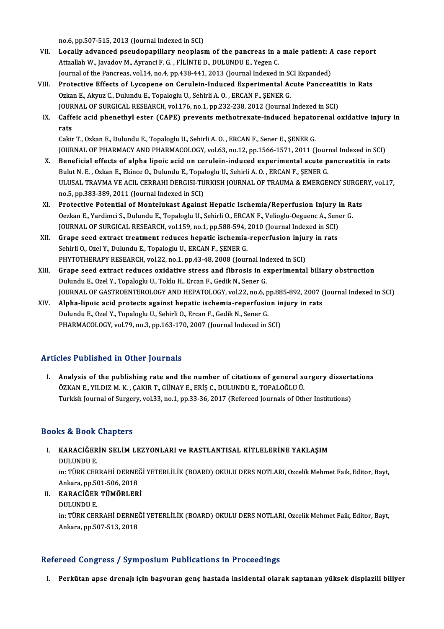no.6,pp.507-515,2013 (Journal Indexed inSCI)

- no.6, pp.507-515, 2013 (Journal Indexed in SCI)<br>VII. Locally advanced pseudopapillary neoplasm of the pancreas in a male patient: A case report no.6, pp.507-515, 2013 (Journal Indexed in SCI)<br>Locally advanced pseudopapillary neoplasm of the pancreas in a<br>Attaallah W., Javadov M., Ayranci F. G. , FİLİNTE D., DULUNDU E., Yegen C.<br>Journal of the Pengrees vol 14 no.4 Locally advanced pseudopapillary neoplasm of the pancreas in a male patient: A<br>Attaallah W., Javadov M., Ayranci F. G. , FILINTE D., DULUNDU E., Yegen C.<br>Journal of the Pancreas, vol.14, no.4, pp.438-441, 2013 (Journal Ind Attaallah W., Javadov M., Ayranci F. G. , FILINTE D., DULUNDU E., Yegen C.<br>Journal of the Pancreas, vol.14, no.4, pp.438-441, 2013 (Journal Indexed in SCI Expanded)<br>VIII. Protective Effects of Lycopene on Cerulein-Induced
- Journal of the Pancreas, vol.14, no.4, pp.438-441, 2013 (Journal Indexed in SCI Expanded)<br>Protective Effects of Lycopene on Cerulein-Induced Experimental Acute Pancrea<br>Ozkan E., Akyuz C., Dulundu E., Topaloglu U., Sehirli Protective Effects of Lycopene on Cerulein-Induced Experimental Acute Pancreatit<br>Ozkan E., Akyuz C., Dulundu E., Topaloglu U., Sehirli A. O. , ERCAN F., ŞENER G.<br>JOURNAL OF SURGICAL RESEARCH, vol.176, no.1, pp.232-238, 201 JOURNAL OF SURGICAL RESEARCH, vol.176, no.1, pp.232-238, 2012 (Journal Indexed in SCI)
- IX. Caffeic acid phenethyl ester (CAPE) prevents methotrexate-induced hepatorenal oxidative injury in rats

```
Cakir T., Ozkan E., Dulundu E., Topaloglu U., Sehirli A. O., ERCAN F., Sener E., ŞENER G.
r<mark>ats</mark><br>Cakir T., Ozkan E., Dulundu E., Topaloglu U., Sehirli A. O. , ERCAN F., Sener E., ŞENER G.<br>JOURNAL OF PHARMACY AND PHARMACOLOGY, vol.63, no.12, pp.1566-1571, 2011 (Journal Indexed in SCI)<br>Penefisial effects of alpha
```
- X. Beneficial effects of alpha lipoic acid on cerulein-induced experimental acute pancreatitis in rats JOURNAL OF PHARMACY AND PHARMACOLOGY, vol.63, no.12, pp.1566-1571, 2011 (Journal)<br>Beneficial effects of alpha lipoic acid on cerulein-induced experimental acute p<br>Bulut N. E. , Ozkan E., Ekince O., Dulundu E., Topaloglu U. Beneficial effects of alpha lipoic acid on cerulein-induced experimental acute pancreatitis in rats<br>Bulut N. E. , Ozkan E., Ekince O., Dulundu E., Topaloglu U., Sehirli A. O. , ERCAN F., ŞENER G.<br>ULUSAL TRAVMA VE ACIL CERR Bulut N. E. , Ozkan E., Ekince O., Dulundu E., Topal<br>ULUSAL TRAVMA VE ACIL CERRAHI DERGISI-TU<br>no.5, pp.383-389, 2011 (Journal Indexed in SCI)<br>Protective Petential of Menteluliest Assinct ULUSAL TRAVMA VE ACIL CERRAHI DERGISI-TURKISH JOURNAL OF TRAUMA & EMERGENCY SURGE<br>no.5, pp.383-389, 2011 (Journal Indexed in SCI)<br>XI. Protective Potential of Montelukast Against Hepatic Ischemia/Reperfusion Injury in Rats<br>
- no.5, pp.383-389, 2011 (Journal Indexed in SCI)<br>Protective Potential of Montelukast Against Hepatic Ischemia/Reperfusion Injury in Ra<br>Oezkan E., Yardimci S., Dulundu E., Topaloglu U., Sehirli O., ERCAN F., Velioglu-Oeguenc Protective Potential of Montelukast Against Hepatic Ischemia/Reperfusion Injury i<br>Oezkan E., Yardimci S., Dulundu E., Topaloglu U., Sehirli O., ERCAN F., Velioglu-Oeguenc A., Sen<br>JOURNAL OF SURGICAL RESEARCH, vol.159, no.1 Oezkan E., Yardimci S., Dulundu E., Topaloglu U., Sehirli O., ERCAN F., Velioglu-Oeguenc A., Sen<br>JOURNAL OF SURGICAL RESEARCH, vol.159, no.1, pp.588-594, 2010 (Journal Indexed in SCI)<br>XII. Grape seed extract treatment redu
- JOURNAL OF SURGICAL RESEARCH, vol.159, no.1, pp.588-594, 3<br>Grape seed extract treatment reduces hepatic ischemia-<br>Sehirli O., Ozel Y., Dulundu E., Topaloglu U., ERCAN F., ŞENER G.<br>PHYTOTHERAPY RESEARCH xol.22, no.1, np.43. Grape seed extract treatment reduces hepatic ischemia-reperfusion injul<br>Sehirli O., Ozel Y., Dulundu E., Topaloglu U., ERCAN F., ŞENER G.<br>PHYTOTHERAPY RESEARCH, vol.22, no.1, pp.43-48, 2008 (Journal Indexed in SCI)<br>Crape s Sehirli O., Ozel Y., Dulundu E., Topaloglu U., ERCAN F., ŞENER G.<br>PHYTOTHERAPY RESEARCH, vol.22, no.1, pp.43-48, 2008 (Journal Indexed in SCI)<br>XIII. Grape seed extract reduces oxidative stress and fibrosis in experimen
- Dulundu E., Ozel Y., Topaloglu U., Toklu H., Ercan F., Gedik N., Sener G. Grape seed extract reduces oxidative stress and fibrosis in experimental biliary obstruction<br>Dulundu E., Ozel Y., Topaloglu U., Toklu H., Ercan F., Gedik N., Sener G.<br>JOURNAL OF GASTROENTEROLOGY AND HEPATOLOGY, vol.22, no. Dulundu E., Ozel Y., Topaloglu U., Toklu H., Ercan F., Gedik N., Sener G.<br>JOURNAL OF GASTROENTEROLOGY AND HEPATOLOGY, vol.22, no.6, pp.885-892, 2007 (<br>XIV. Alpha-lipoic acid protects against hepatic ischemia-reperfusion in
- JOURNAL OF GASTROENTEROLOGY AND HEPATOLOGY, vol.22, no.6, p<br>Alpha-lipoic acid protects against hepatic ischemia-reperfusio<br>Dulundu E., Ozel Y., Topaloglu U., Sehirli O., Ercan F., Gedik N., Sener G.<br>PHAPMACOLOGY, vol.79, n XIV. Alpha-lipoic acid protects against hepatic ischemia-reperfusion injury in rats<br>Dulundu E., Ozel Y., Topaloglu U., Sehirli O., Ercan F., Gedik N., Sener G.<br>PHARMACOLOGY, vol.79, no.3, pp.163-170, 2007 (Journal Indexed

## Articles Published in Other Journals

The Published in Other Journals<br>I. Analysis of the publishing rate and the number of citations of general surgery dissertations<br>ÖZKAN E. VU DIZ M.K., CAKIR T. CÜNAY E. FRIS G. DULUNDU E. TORALOČLU Ü SEC 1 denoncu in Other Journals<br>Analysis of the publishing rate and the number of citations of general su<br>ÖZKAN E., YILDIZ M. K. , ÇAKIR T., GÜNAY E., ERİŞ C., DULUNDU E., TOPALOĞLU Ü.<br>Turkish Journal of Surgowy val 22, no Analysis of the publishing rate and the number of citations of general surgery dissert<br>ÖZKAN E., YILDIZ M. K. , ÇAKIR T., GÜNAY E., ERİŞ C., DULUNDU E., TOPALOĞLU Ü.<br>Turkish Journal of Surgery, vol.33, no.1, pp.33-36, 2017 Turkish Journal of Surgery, vol.33, no.1, pp.33-36, 2017 (Refereed Journals of Other Institutions)<br>Books & Book Chapters

- OOks & Book Chapters<br>I. KARACİĞERİN SELİM LEZYONLARI ve RASTLANTISAL KİTLELERİNE YAKLAŞIM<br>DIJI UNDU E LE & BUCK<br>KARACİĞER<br>DULUNDU E.<br>in: TÜRK CER DULUNDU E.<br>in: TÜRK CERRAHİ DERNEĞİ YETERLİLİK (BOARD) OKULU DERS NOTLARI, Ozcelik Mehmet Faik, Editor, Bayt, DULUNDU E.<br>in: TÜRK CERRAHİ DERNE<br>Ankara, pp.501-506, 2018<br>KARACİČER TÜMÖRLER
- II. KARACİĞER TÜMÖRLERİ<br>DULUNDU E. Ankara, pp.50<br><mark>KARACİĞER</mark><br>DULUNDU E.<br>in: TÜPK CER

in: TÜRK CERRAHİ DERNEĞİ YETERLİLİK (BOARD) OKULU DERS NOTLARI, Ozcelik Mehmet Faik, Editor, Bayt, Ankara,pp.507-513,2018

## Refereed Congress / Symposium Publications in Proceedings

I. Perkütan apse drenajı için başvuran genç hastada insidental olarak saptanan yüksek displazili biliyer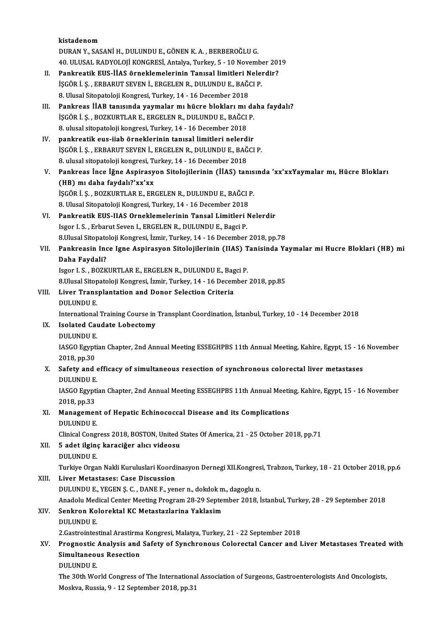kistadenom DURANY.,SASANİH.,DULUNDUE.,GÖNENK.A. ,BERBEROĞLUG. kistadenom<br>DURAN Y., SASANİ H., DULUNDU E., GÖNEN K. A. , BERBEROĞLU G.<br>40. ULUSAL RADYOLOJİ KONGRESİ, Antalya, Turkey, 5 - 10 November 2019<br>Pankrestik EUS, İJAS önneklemelerinin Tenyesl limitleri Nelendir? DURAN Y., SASANİ H., DULUNDU E., GÖNEN K. A. , BERBEROĞLU G.<br>40. ULUSAL RADYOLOJİ KONGRESİ, Antalya, Turkey, 5 - 10 November 201<br>II. Pankreatik EUS-İİAS örneklemelerinin Tanısal limitleri Nelerdir?<br>ISCÖR İ S. ERRABUT SEVEN 40. ULUSAL RADYOLOJİ KONGRESİ, Antalya, Turkey, 5 - 10 Novemb<br>Pankreatik EUS-İİAS örneklemelerinin Tanısal limitleri Nelen<br>İŞGÖR İ. Ş. , ERBARUT SEVEN İ., ERGELEN R., DULUNDU E., BAĞCI P.<br>8. Ulusal Sitanatalaji Kansresi Tu Pankreatik EUS-İİAS örneklemelerinin Tanısal limitleri N<br>İŞGÖR İ. Ş. , ERBARUT SEVEN İ., ERGELEN R., DULUNDU E., BAĞO<br>8. Ulusal Sitopatoloji Kongresi, Turkey, 14 - 16 December 2018<br>Pankreas İİAP tanısında yaymalar mı büsre IŞGÖR İ. Ş. , ERBARUT SEVEN İ., ERGELEN R., DULUNDU E., BAĞCI P.<br>8. Ulusal Sitopatoloji Kongresi, Turkey, 14 - 16 December 2018<br>III. Pankreas İİAB tanısında yaymalar mı hücre bloklarımı daha faydalı?<br>ISCÖR İ. S. POZKUPTLAR 8. Ulusal Sitopatoloji Kongresi, Turkey, 14 - 16 December 2018<br>Pankreas IIAB tanısında yaymalar mı hücre blokları mı da<br>İŞGÖR İ. Ş. , BOZKURTLAR E., ERGELEN R., DULUNDU E., BAĞCI P.<br>8. ulusal sitopatalaji kongresi Turkey, Pankreas İİAB tanısında yaymalar mı hücre blokları mı<br>İŞGÖR İ. Ş., BOZKURTLAR E., ERGELEN R., DULUNDU E., BAĞCI<br>8. ulusal sitopatoloji kongresi, Turkey, 14 - 16 December 2018<br>pankreatik eve ijab örneklerinin tanısal limitl IŞGÖR İ. Ş., BOZKURTLAR E., ERGELEN R., DULUNDU E., BAĞCI P.<br>8. ulusal sitopatoloji kongresi, Turkey, 14 - 16 December 2018<br>IV. pankreatik eus-iiab örneklerinin tanısal limitleri nelerdir<br>ISCÖR İ. S. ERRARUT SEVEN İ. ERCEL 8. ulusal sitopatoloji kongresi, Turkey, 14 - 16 December 2018<br>pankreatik eus-iiab örneklerinin tanısal limitleri nelerdir<br>İŞGÖR İ. Ş. , ERBARUT SEVEN İ., ERGELEN R., DULUNDU E., BAĞCI P.<br>8. ulusal sitopatoloji kongresi, T pankreatik eus-iiab örneklerinin tanısal limitleri nelerd<br>İŞGÖR İ. Ş. , ERBARUT SEVEN İ., ERGELEN R., DULUNDU E., BAĞ<br>8. ulusal sitopatoloji kongresi, Turkey, 14 - 16 December 2018<br>Pankrees İnse İğne Asnivesyon Sitelejiler V. Pankreas İnce İğne Aspirasyon Sitolojilerinin (İİAS) tanısında 'xx'xxYaymalar mı, Hücre Blokları (HB) mı daha faydalı?'xx'xx Pankreas İnce İğne Aspirasyon Sitolojilerinin (İİAS) tanıs<br>(HB) mı daha faydalı?'xx'xx<br>İŞGÖR İ. Ş. , BOZKURTLAR E., ERGELEN R., DULUNDU E., BAĞCI P.<br>8. Ulucel Sitonateleji Kongresi Turkey 14, 16 Desember 2018 (HB) mı daha faydalı?'xx'xx<br>İŞGÖR İ. Ş. , BOZKURTLAR E., ERGELEN R., DULUNDU E., BAĞCI I<br>8. Ulusal Sitopatoloji Kongresi, Turkey, 14 - 16 December 2018<br>Pankrestik EUS UAS Onneklemelerinin Tansal Limitleri N VI. Pankreatik EUS-IIAS Orneklemelerinin Tansal Limitleri Nelerdir 8. Ulusal Sitopatoloji Kongresi, Turkey, 14 - 16 December 2018 Pankreatik EUS-IIAS Orneklemelerinin Tansal Limitleri Nelerdir<br>Isgor I. S. , Erbarut Seven I., ERGELEN R., DULUNDU E., Bagci P.<br>8.Ulusal Sitopatoloji Kongresi, İzmir, Turkey, 14 - 16 December 2018, pp.78<br>Pankreasin Inse Is Isgor I. S. , Erbarut Seven I., ERGELEN R., DULUNDU E., Bagci P.<br>8.Ulusal Sitopatoloji Kongresi, İzmir, Turkey, 14 - 16 December 2018, pp.78<br>VII. Pankreasin Ince Igne Aspirasyon Sitolojilerinin (IIAS) Tanisinda Yaymala 8.Ulusal Sitopato<br>Pankreasin Inc<br>Daha Faydali?<br>Isser I.S., POZK Pankreasin Ince Igne Aspirasyon Sitolojilerinin (IIAS) T<br>Daha Faydali?<br>Isgor I. S., BOZKURTLAR E., ERGELEN R., DULUNDU E., Bagci P.<br>9 Ulusel Sitonatoloji Kongresi, İsmir Turkey 14, 16 December 8. Daha Faydali?<br>19. Isgor I. S. , BOZKURTLAR E., ERGELEN R., DULUNDU E., Bagci P.<br>8.Ulusal Sitopatoloji Kongresi, İzmir, Turkey, 14 - 16 December 2018, pp.85 VIII. Liver Transplantation and Donor Selection Criteria DULUNDUE. Li<mark>ver Transplantation and Donor Selection Criteria</mark><br>DULUNDU E.<br>International Training Course in Transplant Coordination, İstanbul, Turkey, 10 - 14 December 2018<br>Isolated *Coudata I obestam*u IX. Isolated Caudate Lobectomy<br>DULUNDU E. International<br>Isolated Cau<br>DULUNDU E.<br>IASCO Faunti Isolated Caudate Lobectomy<br>DULUNDU E.<br>IASGO Egyptian Chapter, 2nd Annual Meeting ESSEGHPBS 11th Annual Meeting, Kahire, Egypt, 15 - 16 November<br>2018, nn 20 DULUNDU E.<br>IASGO Egypt<br>2018, pp.30<br>Sofoty and X. IASGO Egyptian Chapter, 2nd Annual Meeting ESSEGHPBS 11th Annual Meeting, Kahire, Egypt, 15 - 16<br>2018, pp.30<br>X. Safety and efficacy of simultaneous resection of synchronous colorectal liver metastases<br>DIHUNDHE 2018, pp.30<br>X. Safety and efficacy of simultaneous resection of synchronous colorectal liver metastases<br>DULUNDU E. Safety and efficacy of simultaneous resection of synchronous colorectal liver metastases<br>DULUNDU E.<br>IASGO Egyptian Chapter, 2nd Annual Meeting ESSEGHPBS 11th Annual Meeting, Kahire, Egypt, 15 - 16 November<br>2018 nn 22 DULUNDU E.<br>IASGO Egypt<br>2018, pp.33<br>Managamar IASGO Egyptian Chapter, 2nd Annual Meeting ESSEGHPBS 11th Annual Meeting<br>2018, pp.33<br>XI. Management of Hepatic Echinococcal Disease and its Complications<br>NIU UNDU E 2018, pp.33<br>XI. Management of Hepatic Echinococcal Disease and its Complications<br>DULUNDU E. Clinical Congress 2018, BOSTON, United States Of America, 21 - 25 October 2018, pp.71 DULUNDU E.<br>Clinical Congress 2018, BOSTON, United S.<br>XII. 5 adet ilginç karaciğer alıcı videosu Clinical Congl<br>5 adet ilgin<br>DULUNDU E.<br>Turkive Orga 5 adet ilginç karaciğer alıcı videosu<br>DULUNDU E.<br>Turkiye Organ Nakli Kuruluslari Koordinasyon Dernegi XII.Kongresi, Trabzon, Turkey, 18 - 21 October 2018, pp.6<br>Liver Metastases: Case Dissussion DULUNDU E.<br>Turkiye Organ Nakli Kuruluslari Koordi<br>XIII. Liver Metastases: Case Discussion<br>DIII UNDU E. VECEN S. G. DANE E. VE Turkiye Organ Nakli Kuruluslari Koordinasyon Dernegi XII.Kongres<br>Liver Metastases: Case Discussion<br>DULUNDU E., YEGEN Ş. C. , DANE F., yener n., dokdok m., dagoglu n.<br>Anadalu Madisel Center Meeting Pregram 28-29 Sentember 2 Liver Metastases: Case Discussion<br>DULUNDU E., YEGEN Ş. C. , DANE F., yener n., dokdok m., dagoglu n.<br>Anadolu Medical Center Meeting Program 28-29 September 2018, İstanbul, Turkey, 28 - 29 September 2018<br>Senkren Kelerektel DULUNDU E., YEGEN Ş. C. , DANE F., yener n., dokdok m<br>Anadolu Medical Center Meeting Program 28-29 Septer<br>XIV. Senkron Kolorektal KC Metastazlarina Yaklasim<br>DIII UNDU E Anadolu Med<br>Senkron Ko<br>DULUNDU E.<br>2 Cestreintes Senkron Kolorektal KC Metastazlarina Yaklasim<br>DULUNDU E.<br>2.Gastrointestinal Arastirma Kongresi, Malatya, Turkey, 21 - 22 September 2018<br>Pregnestie Analysis and Sefety of Synghronous Colorestal Cansor and J DULUNDU E.<br>2.Gastrointestinal Arastirma Kongresi, Malatya, Turkey, 21 - 22 September 2018<br>XV. Prognostic Analysis and Safety of Synchronous Colorectal Cancer and Liver Metastases Treated with<br>Simultaneous Besestian 2.Gastrointestinal Arastirma<br>Prognostic Analysis and<br>Simultaneous Resection<br>DIILINDUE Prognostic<br>Simultaneol<br>DULUNDU E.<br>The 30th We Simultaneous Resection<br>DULUNDU E.<br>The 30th World Congress of The International Association of Surgeons, Gastroenterologists And Oncologists,

Moskva, Russia, 9 - 12 September 2018, pp.31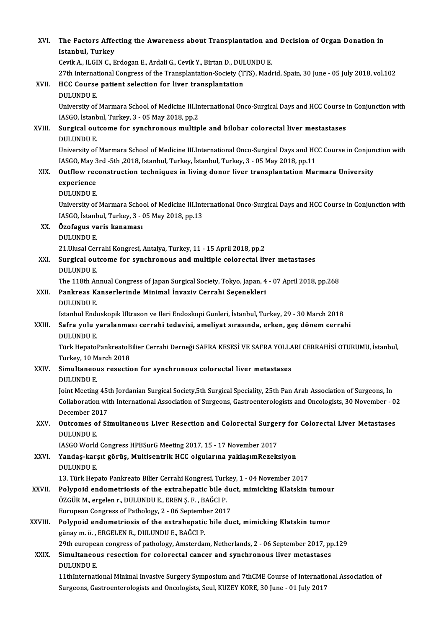| XVI.    | The Factors Affecting the Awareness about Transplantation and Decision of Organ Donation in<br>Istanbul, Turkey                                                    |
|---------|--------------------------------------------------------------------------------------------------------------------------------------------------------------------|
|         | Cevik A., ILGIN C., Erdogan E., Ardali G., Cevik Y., Birtan D., DULUNDU E.                                                                                         |
|         | 27th International Congress of the Transplantation-Society (TTS), Madrid, Spain, 30 June - 05 July 2018, vol.102                                                   |
| XVII.   | HCC Course patient selection for liver transplantation<br><b>DULUNDU E.</b>                                                                                        |
|         | University of Marmara School of Medicine III.International Onco-Surgical Days and HCC Course in Conjunction with<br>IASGO, İstanbul, Turkey, 3 - 05 May 2018, pp.2 |
| XVIII.  | Surgical outcome for synchronous multiple and bilobar colorectal liver mestastases                                                                                 |
|         | <b>DULUNDU E</b>                                                                                                                                                   |
|         | University of Marmara School of Medicine III.International Onco-Surgical Days and HCC Course in Conjunction with                                                   |
|         | IASGO, May 3rd -5th , 2018, Istanbul, Turkey, İstanbul, Turkey, 3 - 05 May 2018, pp.11                                                                             |
| XIX.    | Outflow reconstruction techniques in living donor liver transplantation Marmara University                                                                         |
|         | experience                                                                                                                                                         |
|         | <b>DULUNDU E.</b>                                                                                                                                                  |
|         | University of Marmara School of Medicine III.International Onco-Surgical Days and HCC Course in Conjunction with                                                   |
|         | IASGO, İstanbul, Turkey, 3 - 05 May 2018, pp.13                                                                                                                    |
| XX.     | Özofagus varis kanaması                                                                                                                                            |
|         | <b>DULUNDU E.</b>                                                                                                                                                  |
|         | 21. Ulusal Cerrahi Kongresi, Antalya, Turkey, 11 - 15 April 2018, pp.2                                                                                             |
| XXI.    | Surgical outcome for synchronous and multiple colorectal liver metastases                                                                                          |
|         | <b>DULUNDU E.</b><br>The 118th Annual Congress of Japan Surgical Society, Tokyo, Japan, 4 - 07 April 2018, pp.268                                                  |
| XXII.   | Pankreas Kanserlerinde Minimal İnvaziv Cerrahi Seçenekleri                                                                                                         |
|         | <b>DULUNDU E.</b>                                                                                                                                                  |
|         | Istanbul Endoskopik Ultrason ve Ileri Endoskopi Gunleri, İstanbul, Turkey, 29 - 30 March 2018                                                                      |
| XXIII.  | Safra yolu yaralanması cerrahi tedavisi, ameliyat sırasında, erken, geç dönem cerrahi                                                                              |
|         | <b>DULUNDU E</b>                                                                                                                                                   |
|         | Türk HepatoPankreatoBilier Cerrahi Derneği SAFRA KESESİ VE SAFRA YOLLARI CERRAHİSİ OTURUMU, İstanbul,                                                              |
|         | Turkey, 10 March 2018                                                                                                                                              |
| XXIV.   | Simultaneous resection for synchronous colorectal liver metastases<br><b>DULUNDU E.</b>                                                                            |
|         | Joint Meeting 45th Jordanian Surgical Society,5th Surgical Speciality, 25th Pan Arab Association of Surgeons, In                                                   |
|         | Collaboration with International Association of Surgeons, Gastroenterologists and Oncologists, 30 November - 02                                                    |
|         | December 2017                                                                                                                                                      |
| XXV.    | Outcomes of Simultaneous Liver Resection and Colorectal Surgery for Colorectal Liver Metastases<br><b>DULUNDU E.</b>                                               |
|         | IASGO World Congress HPBSurG Meeting 2017, 15 - 17 November 2017                                                                                                   |
| XXVI.   | Yandaş-karşıt görüş, Multisentrik HCC olgularına yaklaşımRezeksiyon<br><b>DULUNDU E.</b>                                                                           |
|         | 13. Türk Hepato Pankreato Bilier Cerrahi Kongresi, Turkey, 1 - 04 November 2017                                                                                    |
| XXVII.  | Polypoid endometriosis of the extrahepatic bile duct, mimicking Klatskin tumour                                                                                    |
|         | ÖZGÜR M., ergelen r., DULUNDU E., EREN Ş. F., BAĞCI P.                                                                                                             |
|         | European Congress of Pathology, 2 - 06 September 2017                                                                                                              |
| XXVIII. | Polypoid endometriosis of the extrahepatic bile duct, mimicking Klatskin tumor                                                                                     |
|         | günay m. ö., ERGELEN R., DULUNDU E., BAĞCI P.                                                                                                                      |
|         | 29th european congress of pathology, Amsterdam, Netherlands, 2 - 06 September 2017, pp.129                                                                         |
| XXIX.   | Simultaneous resection for colorectal cancer and synchronous liver metastases<br><b>DULUNDU E.</b>                                                                 |
|         | 11thInternational Minimal Invasive Surgery Symposium and 7thCME Course of International Association of                                                             |
|         | Surgeons, Gastroenterologists and Oncologists, Seul, KUZEY KORE, 30 June - 01 July 2017                                                                            |
|         |                                                                                                                                                                    |